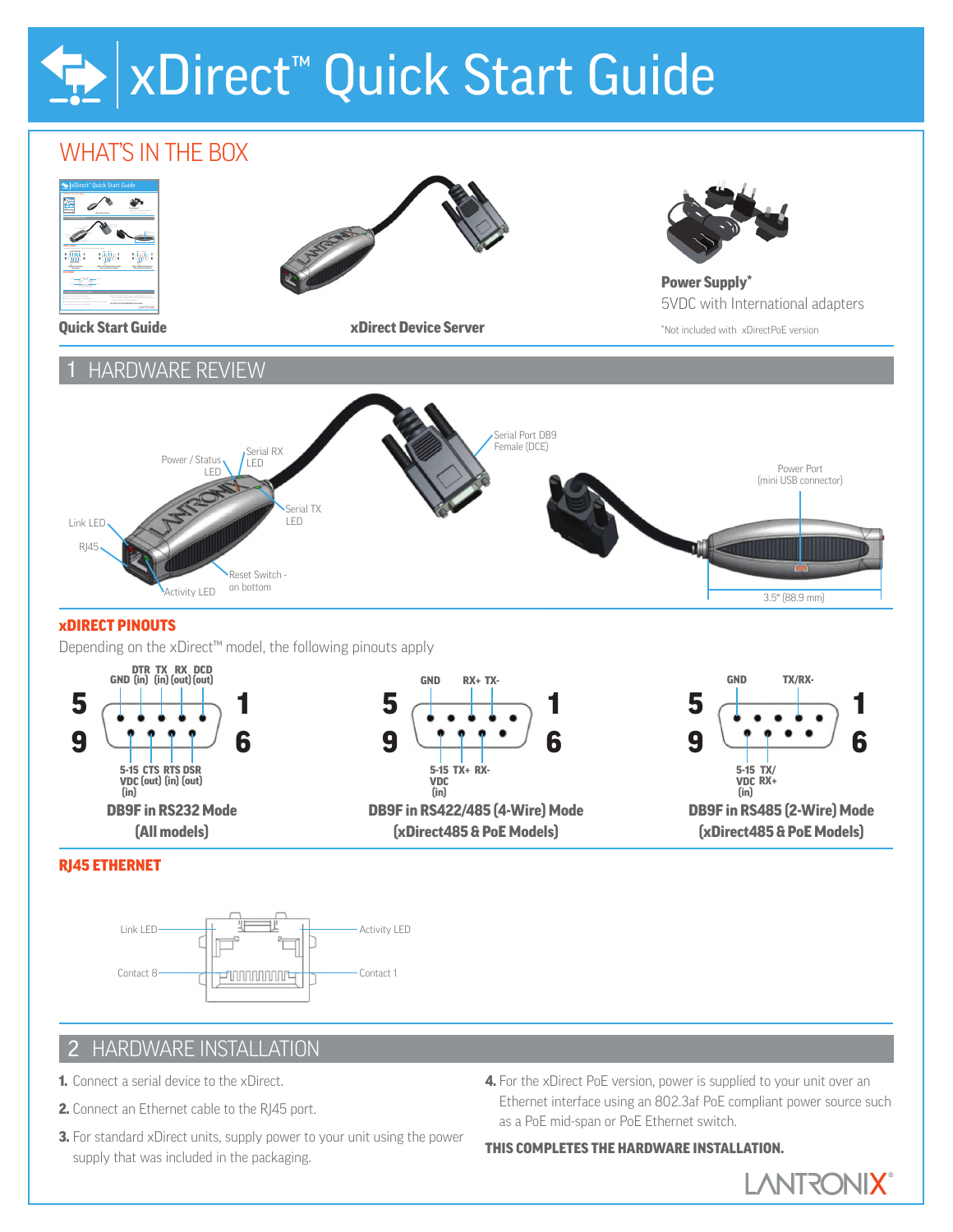# xDirect™ Quick Start Guide

## WHAT'S IN THE BOX



- 2. Connect an Ethernet cable to the RJ45 port.
- **3.** For standard xDirect units, supply power to your unit using the power supply that was included in the packaging.
- Ethernet interface using an 802.3af PoE compliant power source such as a PoE mid-span or PoE Ethernet switch.

## THIS COMPLETES THE HARDWARE INSTALLATION.